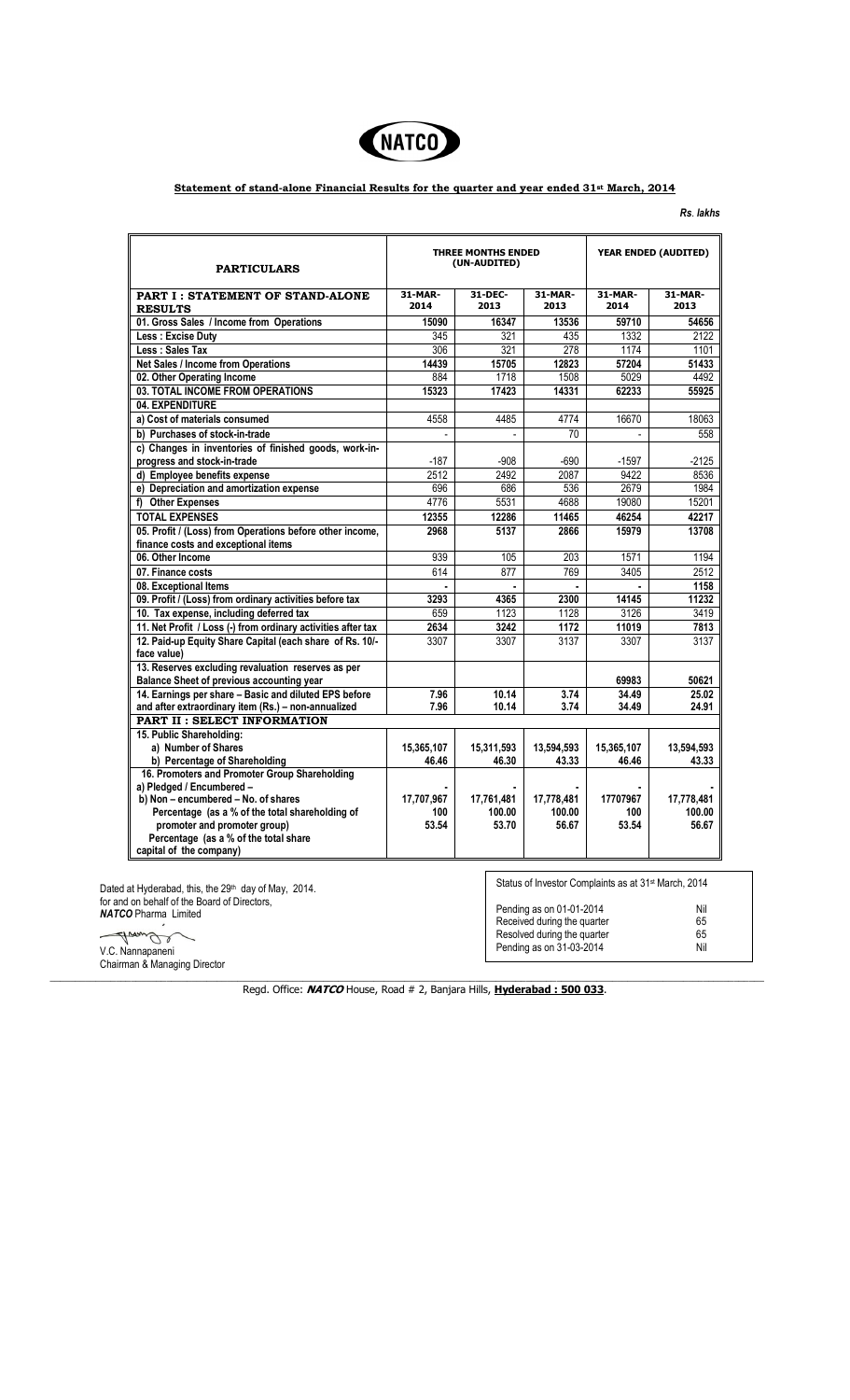

## **Statement of stand-alone Financial Results for the quarter and year ended 31st March, 2014**

*Rs*. *lakhs* 

| <b>PART I: STATEMENT OF STAND-ALONE</b><br><b>RESULTS</b><br>01. Gross Sales / Income from Operations<br>Less: Excise Duty<br>Less: Sales Tax<br><b>Net Sales / Income from Operations</b><br>02. Other Operating Income<br>03. TOTAL INCOME FROM OPERATIONS<br>04. EXPENDITURE<br>a) Cost of materials consumed<br>b) Purchases of stock-in-trade<br>c) Changes in inventories of finished goods, work-in-<br>progress and stock-in-trade<br>d) Employee benefits expense<br>e) Depreciation and amortization expense<br>f) Other Expenses<br><b>TOTAL EXPENSES</b><br>05. Profit / (Loss) from Operations before other income,<br>finance costs and exceptional items<br>06. Other Income<br>07. Finance costs<br>08. Exceptional Items<br>09. Profit / (Loss) from ordinary activities before tax<br>10. Tax expense, including deferred tax<br>11. Net Profit / Loss (-) from ordinary activities after tax<br>12. Paid-up Equity Share Capital (each share of Rs. 10/-<br>face value)<br>13. Reserves excluding revaluation reserves as per<br><b>Balance Sheet of previous accounting year</b><br>14. Earnings per share - Basic and diluted EPS before | 31-MAR-<br>2014<br>15090<br>345<br>306<br>14439<br>884<br>15323<br>4558<br>$-187$<br>2512<br>696<br>4776<br>12355<br>2968<br>939<br>614<br>3293 | 31-DEC-<br>2013<br>16347<br>321<br>321<br>15705<br>1718<br>17423<br>4485<br>$-908$<br>2492<br>686<br>5531<br>12286<br>5137<br>105<br>877 | 31-MAR-<br>2013<br>13536<br>435<br>278<br>12823<br>1508<br>14331<br>4774<br>70<br>$-690$<br>2087<br>536<br>4688<br>11465<br>2866<br>203<br>769 | 31-MAR-<br>2014<br>59710<br>1332<br>1174<br>57204<br>5029<br>62233<br>16670<br>$-1597$<br>9422<br>2679<br>19080<br>46254<br>15979<br>1571<br>3405 | 31-MAR-<br>2013<br>54656<br>2122<br>1101<br>51433<br>4492<br>55925<br>18063<br>558<br>$-2125$<br>8536<br>1984<br>15201<br>42217<br>13708<br>1194 |
|---------------------------------------------------------------------------------------------------------------------------------------------------------------------------------------------------------------------------------------------------------------------------------------------------------------------------------------------------------------------------------------------------------------------------------------------------------------------------------------------------------------------------------------------------------------------------------------------------------------------------------------------------------------------------------------------------------------------------------------------------------------------------------------------------------------------------------------------------------------------------------------------------------------------------------------------------------------------------------------------------------------------------------------------------------------------------------------------------------------------------------------------------------------|-------------------------------------------------------------------------------------------------------------------------------------------------|------------------------------------------------------------------------------------------------------------------------------------------|------------------------------------------------------------------------------------------------------------------------------------------------|---------------------------------------------------------------------------------------------------------------------------------------------------|--------------------------------------------------------------------------------------------------------------------------------------------------|
|                                                                                                                                                                                                                                                                                                                                                                                                                                                                                                                                                                                                                                                                                                                                                                                                                                                                                                                                                                                                                                                                                                                                                               |                                                                                                                                                 |                                                                                                                                          |                                                                                                                                                |                                                                                                                                                   |                                                                                                                                                  |
|                                                                                                                                                                                                                                                                                                                                                                                                                                                                                                                                                                                                                                                                                                                                                                                                                                                                                                                                                                                                                                                                                                                                                               |                                                                                                                                                 |                                                                                                                                          |                                                                                                                                                |                                                                                                                                                   |                                                                                                                                                  |
|                                                                                                                                                                                                                                                                                                                                                                                                                                                                                                                                                                                                                                                                                                                                                                                                                                                                                                                                                                                                                                                                                                                                                               |                                                                                                                                                 |                                                                                                                                          |                                                                                                                                                |                                                                                                                                                   |                                                                                                                                                  |
|                                                                                                                                                                                                                                                                                                                                                                                                                                                                                                                                                                                                                                                                                                                                                                                                                                                                                                                                                                                                                                                                                                                                                               |                                                                                                                                                 |                                                                                                                                          |                                                                                                                                                |                                                                                                                                                   |                                                                                                                                                  |
|                                                                                                                                                                                                                                                                                                                                                                                                                                                                                                                                                                                                                                                                                                                                                                                                                                                                                                                                                                                                                                                                                                                                                               |                                                                                                                                                 |                                                                                                                                          |                                                                                                                                                |                                                                                                                                                   |                                                                                                                                                  |
|                                                                                                                                                                                                                                                                                                                                                                                                                                                                                                                                                                                                                                                                                                                                                                                                                                                                                                                                                                                                                                                                                                                                                               |                                                                                                                                                 |                                                                                                                                          |                                                                                                                                                |                                                                                                                                                   |                                                                                                                                                  |
|                                                                                                                                                                                                                                                                                                                                                                                                                                                                                                                                                                                                                                                                                                                                                                                                                                                                                                                                                                                                                                                                                                                                                               |                                                                                                                                                 |                                                                                                                                          |                                                                                                                                                |                                                                                                                                                   |                                                                                                                                                  |
|                                                                                                                                                                                                                                                                                                                                                                                                                                                                                                                                                                                                                                                                                                                                                                                                                                                                                                                                                                                                                                                                                                                                                               |                                                                                                                                                 |                                                                                                                                          |                                                                                                                                                |                                                                                                                                                   |                                                                                                                                                  |
|                                                                                                                                                                                                                                                                                                                                                                                                                                                                                                                                                                                                                                                                                                                                                                                                                                                                                                                                                                                                                                                                                                                                                               |                                                                                                                                                 |                                                                                                                                          |                                                                                                                                                |                                                                                                                                                   |                                                                                                                                                  |
|                                                                                                                                                                                                                                                                                                                                                                                                                                                                                                                                                                                                                                                                                                                                                                                                                                                                                                                                                                                                                                                                                                                                                               |                                                                                                                                                 |                                                                                                                                          |                                                                                                                                                |                                                                                                                                                   |                                                                                                                                                  |
|                                                                                                                                                                                                                                                                                                                                                                                                                                                                                                                                                                                                                                                                                                                                                                                                                                                                                                                                                                                                                                                                                                                                                               |                                                                                                                                                 |                                                                                                                                          |                                                                                                                                                |                                                                                                                                                   |                                                                                                                                                  |
|                                                                                                                                                                                                                                                                                                                                                                                                                                                                                                                                                                                                                                                                                                                                                                                                                                                                                                                                                                                                                                                                                                                                                               |                                                                                                                                                 |                                                                                                                                          |                                                                                                                                                |                                                                                                                                                   |                                                                                                                                                  |
|                                                                                                                                                                                                                                                                                                                                                                                                                                                                                                                                                                                                                                                                                                                                                                                                                                                                                                                                                                                                                                                                                                                                                               |                                                                                                                                                 |                                                                                                                                          |                                                                                                                                                |                                                                                                                                                   |                                                                                                                                                  |
|                                                                                                                                                                                                                                                                                                                                                                                                                                                                                                                                                                                                                                                                                                                                                                                                                                                                                                                                                                                                                                                                                                                                                               |                                                                                                                                                 |                                                                                                                                          |                                                                                                                                                |                                                                                                                                                   |                                                                                                                                                  |
|                                                                                                                                                                                                                                                                                                                                                                                                                                                                                                                                                                                                                                                                                                                                                                                                                                                                                                                                                                                                                                                                                                                                                               |                                                                                                                                                 |                                                                                                                                          |                                                                                                                                                |                                                                                                                                                   |                                                                                                                                                  |
|                                                                                                                                                                                                                                                                                                                                                                                                                                                                                                                                                                                                                                                                                                                                                                                                                                                                                                                                                                                                                                                                                                                                                               |                                                                                                                                                 |                                                                                                                                          |                                                                                                                                                |                                                                                                                                                   |                                                                                                                                                  |
|                                                                                                                                                                                                                                                                                                                                                                                                                                                                                                                                                                                                                                                                                                                                                                                                                                                                                                                                                                                                                                                                                                                                                               |                                                                                                                                                 |                                                                                                                                          |                                                                                                                                                |                                                                                                                                                   |                                                                                                                                                  |
|                                                                                                                                                                                                                                                                                                                                                                                                                                                                                                                                                                                                                                                                                                                                                                                                                                                                                                                                                                                                                                                                                                                                                               |                                                                                                                                                 |                                                                                                                                          |                                                                                                                                                |                                                                                                                                                   |                                                                                                                                                  |
|                                                                                                                                                                                                                                                                                                                                                                                                                                                                                                                                                                                                                                                                                                                                                                                                                                                                                                                                                                                                                                                                                                                                                               |                                                                                                                                                 |                                                                                                                                          |                                                                                                                                                |                                                                                                                                                   | 2512                                                                                                                                             |
|                                                                                                                                                                                                                                                                                                                                                                                                                                                                                                                                                                                                                                                                                                                                                                                                                                                                                                                                                                                                                                                                                                                                                               |                                                                                                                                                 |                                                                                                                                          |                                                                                                                                                |                                                                                                                                                   | 1158                                                                                                                                             |
|                                                                                                                                                                                                                                                                                                                                                                                                                                                                                                                                                                                                                                                                                                                                                                                                                                                                                                                                                                                                                                                                                                                                                               |                                                                                                                                                 | 4365                                                                                                                                     | 2300                                                                                                                                           | 14145                                                                                                                                             | 11232                                                                                                                                            |
|                                                                                                                                                                                                                                                                                                                                                                                                                                                                                                                                                                                                                                                                                                                                                                                                                                                                                                                                                                                                                                                                                                                                                               | 659                                                                                                                                             | 1123                                                                                                                                     | 1128                                                                                                                                           | 3126                                                                                                                                              | 3419                                                                                                                                             |
|                                                                                                                                                                                                                                                                                                                                                                                                                                                                                                                                                                                                                                                                                                                                                                                                                                                                                                                                                                                                                                                                                                                                                               | 2634                                                                                                                                            | 3242                                                                                                                                     | 1172                                                                                                                                           | 11019                                                                                                                                             | 7813                                                                                                                                             |
|                                                                                                                                                                                                                                                                                                                                                                                                                                                                                                                                                                                                                                                                                                                                                                                                                                                                                                                                                                                                                                                                                                                                                               | 3307                                                                                                                                            | 3307                                                                                                                                     | 3137                                                                                                                                           | 3307                                                                                                                                              | 3137                                                                                                                                             |
|                                                                                                                                                                                                                                                                                                                                                                                                                                                                                                                                                                                                                                                                                                                                                                                                                                                                                                                                                                                                                                                                                                                                                               |                                                                                                                                                 |                                                                                                                                          |                                                                                                                                                | 69983                                                                                                                                             | 50621                                                                                                                                            |
|                                                                                                                                                                                                                                                                                                                                                                                                                                                                                                                                                                                                                                                                                                                                                                                                                                                                                                                                                                                                                                                                                                                                                               | 7.96                                                                                                                                            | 10.14                                                                                                                                    | 3.74                                                                                                                                           | 34.49                                                                                                                                             | 25.02                                                                                                                                            |
| and after extraordinary item (Rs.) - non-annualized                                                                                                                                                                                                                                                                                                                                                                                                                                                                                                                                                                                                                                                                                                                                                                                                                                                                                                                                                                                                                                                                                                           | 7.96                                                                                                                                            | 10.14                                                                                                                                    | 3.74                                                                                                                                           | 34.49                                                                                                                                             | 24.91                                                                                                                                            |
| PART II : SELECT INFORMATION                                                                                                                                                                                                                                                                                                                                                                                                                                                                                                                                                                                                                                                                                                                                                                                                                                                                                                                                                                                                                                                                                                                                  |                                                                                                                                                 |                                                                                                                                          |                                                                                                                                                |                                                                                                                                                   |                                                                                                                                                  |
| 15. Public Shareholding:                                                                                                                                                                                                                                                                                                                                                                                                                                                                                                                                                                                                                                                                                                                                                                                                                                                                                                                                                                                                                                                                                                                                      |                                                                                                                                                 |                                                                                                                                          |                                                                                                                                                |                                                                                                                                                   |                                                                                                                                                  |
| a) Number of Shares                                                                                                                                                                                                                                                                                                                                                                                                                                                                                                                                                                                                                                                                                                                                                                                                                                                                                                                                                                                                                                                                                                                                           | 15,365,107                                                                                                                                      | 15.311.593                                                                                                                               | 13,594,593                                                                                                                                     | 15,365,107                                                                                                                                        | 13,594,593                                                                                                                                       |
| b) Percentage of Shareholding<br>16. Promoters and Promoter Group Shareholding                                                                                                                                                                                                                                                                                                                                                                                                                                                                                                                                                                                                                                                                                                                                                                                                                                                                                                                                                                                                                                                                                | 46.46                                                                                                                                           | 46.30                                                                                                                                    | 43.33                                                                                                                                          | 46.46                                                                                                                                             | 43.33                                                                                                                                            |
| a) Pledged / Encumbered -                                                                                                                                                                                                                                                                                                                                                                                                                                                                                                                                                                                                                                                                                                                                                                                                                                                                                                                                                                                                                                                                                                                                     |                                                                                                                                                 |                                                                                                                                          |                                                                                                                                                |                                                                                                                                                   |                                                                                                                                                  |
| b) Non - encumbered - No. of shares                                                                                                                                                                                                                                                                                                                                                                                                                                                                                                                                                                                                                                                                                                                                                                                                                                                                                                                                                                                                                                                                                                                           | 17,707,967                                                                                                                                      | 17,761,481                                                                                                                               | 17,778,481                                                                                                                                     | 17707967                                                                                                                                          | 17,778,481                                                                                                                                       |
| Percentage (as a % of the total shareholding of                                                                                                                                                                                                                                                                                                                                                                                                                                                                                                                                                                                                                                                                                                                                                                                                                                                                                                                                                                                                                                                                                                               | 100                                                                                                                                             | 100.00                                                                                                                                   | 100.00                                                                                                                                         | 100                                                                                                                                               | 100.00                                                                                                                                           |
| promoter and promoter group)                                                                                                                                                                                                                                                                                                                                                                                                                                                                                                                                                                                                                                                                                                                                                                                                                                                                                                                                                                                                                                                                                                                                  | 53.54                                                                                                                                           | 53.70                                                                                                                                    | 56.67                                                                                                                                          | 53.54                                                                                                                                             | 56.67                                                                                                                                            |
| Percentage (as a % of the total share                                                                                                                                                                                                                                                                                                                                                                                                                                                                                                                                                                                                                                                                                                                                                                                                                                                                                                                                                                                                                                                                                                                         |                                                                                                                                                 |                                                                                                                                          |                                                                                                                                                |                                                                                                                                                   |                                                                                                                                                  |
| capital of the company)                                                                                                                                                                                                                                                                                                                                                                                                                                                                                                                                                                                                                                                                                                                                                                                                                                                                                                                                                                                                                                                                                                                                       |                                                                                                                                                 |                                                                                                                                          |                                                                                                                                                |                                                                                                                                                   |                                                                                                                                                  |
|                                                                                                                                                                                                                                                                                                                                                                                                                                                                                                                                                                                                                                                                                                                                                                                                                                                                                                                                                                                                                                                                                                                                                               |                                                                                                                                                 |                                                                                                                                          |                                                                                                                                                |                                                                                                                                                   |                                                                                                                                                  |
|                                                                                                                                                                                                                                                                                                                                                                                                                                                                                                                                                                                                                                                                                                                                                                                                                                                                                                                                                                                                                                                                                                                                                               |                                                                                                                                                 |                                                                                                                                          |                                                                                                                                                |                                                                                                                                                   |                                                                                                                                                  |
| Dated at Hyderabad, this, the 29 <sup>th</sup> day of May, 2014.                                                                                                                                                                                                                                                                                                                                                                                                                                                                                                                                                                                                                                                                                                                                                                                                                                                                                                                                                                                                                                                                                              |                                                                                                                                                 |                                                                                                                                          |                                                                                                                                                | Status of Investor Complaints as at 31 <sup>st</sup> March, 2014                                                                                  |                                                                                                                                                  |
| for and on behalf of the Board of Directors,<br><b>NATCO</b> Pharma Limited                                                                                                                                                                                                                                                                                                                                                                                                                                                                                                                                                                                                                                                                                                                                                                                                                                                                                                                                                                                                                                                                                   |                                                                                                                                                 |                                                                                                                                          |                                                                                                                                                | Pending as on 01-01-2014                                                                                                                          | Nil                                                                                                                                              |

 V.C. Nannapaneni Chairman & Managing Director

 $\_$  ,  $\_$  ,  $\_$  ,  $\_$  ,  $\_$  ,  $\_$  ,  $\_$  ,  $\_$  ,  $\_$  ,  $\_$  ,  $\_$  ,  $\_$  ,  $\_$  ,  $\_$  ,  $\_$  ,  $\_$  ,  $\_$  ,  $\_$  ,  $\_$  ,  $\_$  ,  $\_$  ,  $\_$  ,  $\_$  ,  $\_$  ,  $\_$  ,  $\_$  ,  $\_$  ,  $\_$  ,  $\_$  ,  $\_$  ,  $\_$  ,  $\_$  ,  $\_$  ,  $\_$  ,  $\_$  ,  $\_$  ,  $\_$  ,

Received during the quarter **65** Resolved during the quarter manufacturer 65 Pending as on 31-03-2014 **Nil** 

Regd. Office: **NATCO** House, Road # 2, Banjara Hills, **Hyderabad : 500 033**.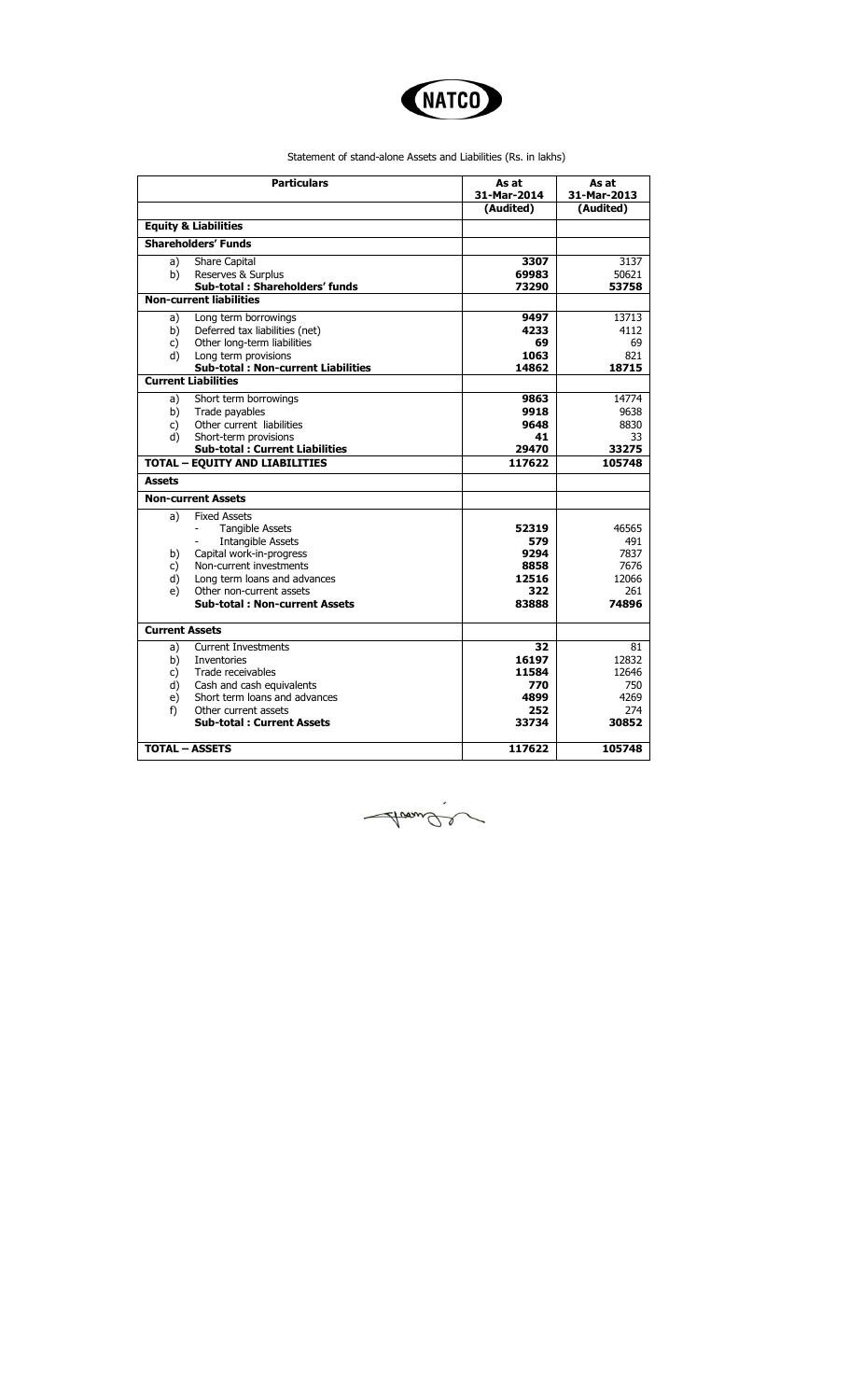

Statement of stand-alone Assets and Liabilities (Rs. in lakhs)

|                       | <b>Particulars</b>                                                      | As at<br>31-Mar-2014 | As at<br>31-Mar-2013 |
|-----------------------|-------------------------------------------------------------------------|----------------------|----------------------|
|                       |                                                                         | (Audited)            | (Audited)            |
|                       | <b>Equity &amp; Liabilities</b>                                         |                      |                      |
|                       | <b>Shareholders' Funds</b>                                              |                      |                      |
| a)                    | <b>Share Capital</b>                                                    | 3307                 | 3137                 |
| b)                    | Reserves & Surplus                                                      | 69983                | 50621                |
|                       | Sub-total: Shareholders' funds<br><b>Non-current liabilities</b>        | 73290                | 53758                |
|                       |                                                                         |                      |                      |
| a)                    | Long term borrowings                                                    | 9497                 | 13713                |
| b)                    | Deferred tax liabilities (net)                                          | 4233                 | 4112                 |
| c)                    | Other long-term liabilities                                             | 69                   | 69                   |
| d)                    | Long term provisions                                                    | 1063                 | 821                  |
|                       | <b>Sub-total: Non-current Liabilities</b><br><b>Current Liabilities</b> | 14862                | 18715                |
|                       |                                                                         |                      |                      |
| a)                    | Short term borrowings                                                   | 9863                 | 14774                |
| b)                    | Trade payables                                                          | 9918                 | 9638                 |
| c)                    | Other current liabilities                                               | 9648                 | 8830                 |
| d)                    | Short-term provisions                                                   | 41                   | 33                   |
|                       | <b>Sub-total: Current Liabilities</b>                                   | 29470                | 33275                |
|                       | <b>TOTAL - EQUITY AND LIABILITIES</b>                                   | 117622               | 105748               |
| <b>Assets</b>         |                                                                         |                      |                      |
|                       | <b>Non-current Assets</b>                                               |                      |                      |
| a)                    | <b>Fixed Assets</b>                                                     |                      |                      |
|                       | <b>Tangible Assets</b>                                                  | 52319                | 46565                |
|                       | <b>Intangible Assets</b>                                                | 579                  | 491                  |
| b)                    | Capital work-in-progress                                                | 9294                 | 7837                 |
| c)                    | Non-current investments                                                 | 8858                 | 7676                 |
| d)                    | Long term loans and advances                                            | 12516                | 12066                |
| e)                    | Other non-current assets                                                | 322                  | 261                  |
|                       | <b>Sub-total: Non-current Assets</b>                                    | 83888                | 74896                |
| <b>Current Assets</b> |                                                                         |                      |                      |
| a)                    | <b>Current Investments</b>                                              | 32                   | 81                   |
| b)                    | Inventories                                                             | 16197                | 12832                |
| $\mathsf{C}$          | Trade receivables                                                       | 11584                | 12646                |
| d)                    | Cash and cash equivalents                                               | 770                  | 750                  |
| e)                    | Short term loans and advances                                           | 4899                 | 4269                 |
| f)                    | Other current assets                                                    | 252                  | 274                  |
|                       | <b>Sub-total: Current Assets</b>                                        | 33734                | 30852                |
|                       |                                                                         |                      |                      |
|                       | <b>TOTAL - ASSETS</b>                                                   | 117622               | 105748               |

Avande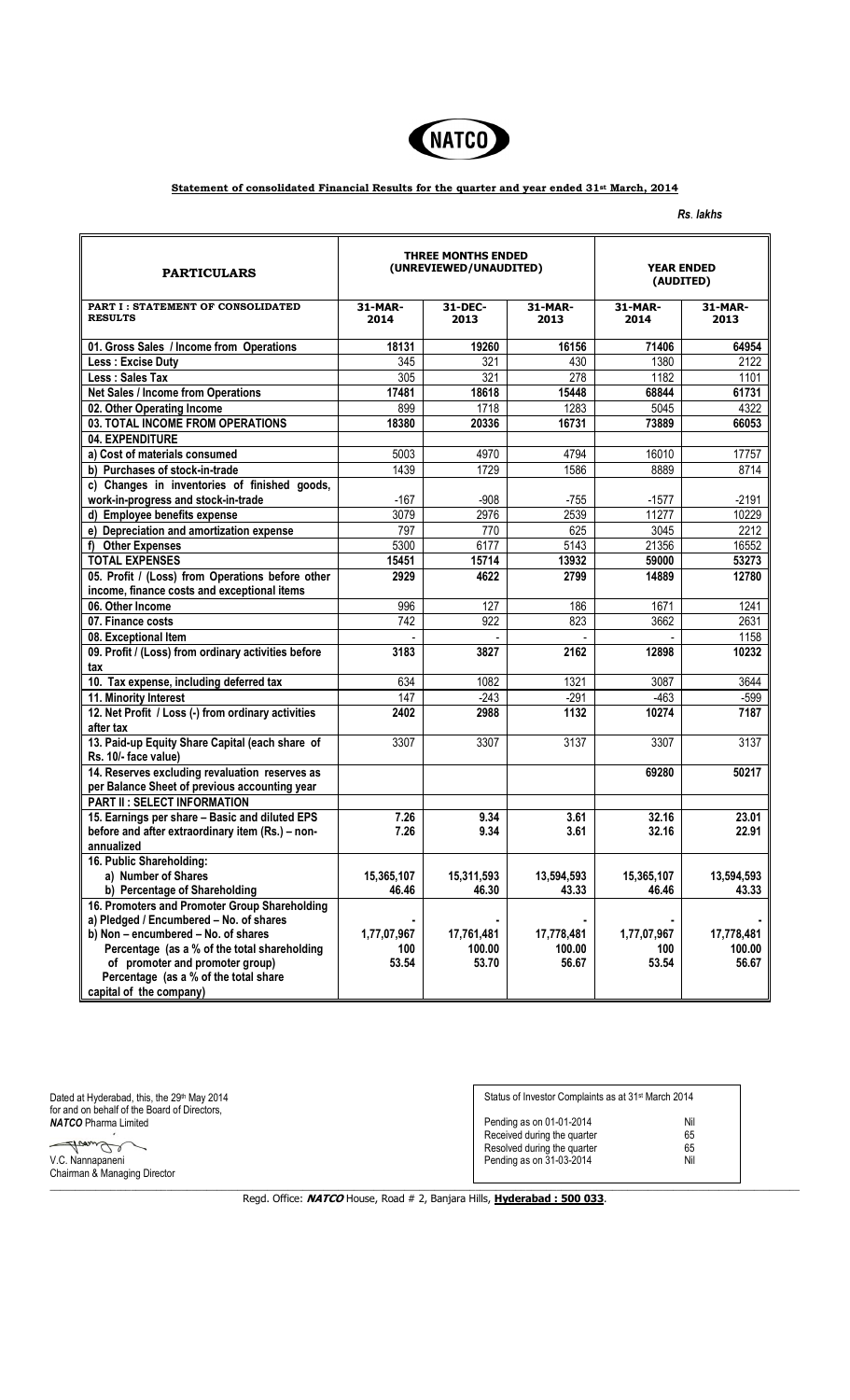

## **Statement of consolidated Financial Results for the quarter and year ended 31st March, 2014**

*Rs*. *lakhs* 

| <b>PARTICULARS</b>                                  | <b>THREE MONTHS ENDED</b><br>(UNREVIEWED/UNAUDITED) |                  |                 | <b>YEAR ENDED</b><br>(AUDITED) |                 |  |
|-----------------------------------------------------|-----------------------------------------------------|------------------|-----------------|--------------------------------|-----------------|--|
| PART I: STATEMENT OF CONSOLIDATED<br><b>RESULTS</b> | 31-MAR-<br>2014                                     | 31-DEC-<br>2013  | 31-MAR-<br>2013 | 31-MAR-<br>2014                | 31-MAR-<br>2013 |  |
| 01. Gross Sales / Income from Operations            | 18131                                               | 19260            | 16156           | 71406                          | 64954           |  |
| Less: Excise Duty                                   | 345                                                 | 321              | 430             | 1380                           | 2122            |  |
| Less : Sales Tax                                    | 305                                                 | 321              | 278             | 1182                           | 1101            |  |
| Net Sales / Income from Operations                  | 17481                                               | 18618            | 15448           | 68844                          | 61731           |  |
| 02. Other Operating Income                          | 899                                                 | 1718             | 1283            | 5045                           | 4322            |  |
| 03. TOTAL INCOME FROM OPERATIONS                    | 18380                                               | 20336            | 16731           | 73889                          | 66053           |  |
| 04. EXPENDITURE                                     |                                                     |                  |                 |                                |                 |  |
| a) Cost of materials consumed                       | 5003                                                | 4970             | 4794            | 16010                          | 17757           |  |
| b) Purchases of stock-in-trade                      | 1439                                                | 1729             | 1586            | 8889                           | 8714            |  |
| c) Changes in inventories of finished goods,        |                                                     |                  |                 |                                |                 |  |
| work-in-progress and stock-in-trade                 | $-167$                                              | $-908$           | $-755$          | $-1577$                        | $-2191$         |  |
| d) Employee benefits expense                        | 3079                                                | 2976             | 2539            | 11277                          | 10229           |  |
| e) Depreciation and amortization expense            | 797                                                 | 770              | 625             | 3045                           | 2212            |  |
| f) Other Expenses                                   | 5300                                                | 6177             | 5143            | 21356                          | 16552           |  |
| <b>TOTAL EXPENSES</b>                               | 15451                                               | 15714            | 13932           | 59000                          | 53273           |  |
| 05. Profit / (Loss) from Operations before other    | 2929                                                | 4622             | 2799            | 14889                          | 12780           |  |
| income, finance costs and exceptional items         |                                                     |                  |                 |                                |                 |  |
| 06. Other Income                                    | 996                                                 | 127              | 186             | 1671                           | 1241            |  |
| 07. Finance costs                                   | 742                                                 | $\overline{922}$ | 823             | 3662                           | 2631            |  |
| 08. Exceptional Item                                |                                                     |                  |                 |                                | 1158            |  |
| 09. Profit / (Loss) from ordinary activities before | 3183                                                | 3827             | 2162            | 12898                          | 10232           |  |
| tax                                                 |                                                     |                  |                 |                                |                 |  |
| 10. Tax expense, including deferred tax             | 634                                                 | 1082             | 1321            | 3087                           | 3644            |  |
| 11. Minority Interest                               | $\overline{147}$                                    | $-243$           | $-291$          | $-463$                         | $-599$          |  |
| 12. Net Profit / Loss (-) from ordinary activities  | 2402                                                | 2988             | 1132            | 10274                          | 7187            |  |
| after tax                                           |                                                     |                  |                 |                                |                 |  |
| 13. Paid-up Equity Share Capital (each share of     | 3307                                                | 3307             | 3137            | 3307                           | 3137            |  |
| Rs. 10/- face value)                                |                                                     |                  |                 |                                |                 |  |
| 14. Reserves excluding revaluation reserves as      |                                                     |                  |                 | 69280                          | 50217           |  |
| per Balance Sheet of previous accounting year       |                                                     |                  |                 |                                |                 |  |
| <b>PART II: SELECT INFORMATION</b>                  |                                                     |                  |                 |                                |                 |  |
| 15. Earnings per share - Basic and diluted EPS      | 7.26                                                | 9.34             | 3.61            | 32.16                          | 23.01           |  |
| before and after extraordinary item (Rs.) - non-    | 7.26                                                | 9.34             | 3.61            | 32.16                          | 22.91           |  |
| annualized                                          |                                                     |                  |                 |                                |                 |  |
| 16. Public Shareholding:                            |                                                     |                  |                 |                                |                 |  |
| a) Number of Shares                                 | 15,365,107                                          | 15,311,593       | 13,594,593      | 15,365,107                     | 13,594,593      |  |
| b) Percentage of Shareholding                       | 46.46                                               | 46.30            | 43.33           | 46.46                          | 43.33           |  |
| 16. Promoters and Promoter Group Shareholding       |                                                     |                  |                 |                                |                 |  |
| a) Pledged / Encumbered - No. of shares             |                                                     |                  |                 |                                |                 |  |
| b) Non - encumbered - No. of shares                 | 1,77,07,967                                         | 17,761,481       | 17,778,481      | 1,77,07,967                    | 17,778,481      |  |
| Percentage (as a % of the total shareholding        | 100                                                 | 100.00           | 100.00          | 100                            | 100.00          |  |
| of promoter and promoter group)                     | 53.54                                               | 53.70            | 56.67           | 53.54                          | 56.67           |  |
| Percentage (as a % of the total share               |                                                     |                  |                 |                                |                 |  |
| capital of the company)                             |                                                     |                  |                 |                                |                 |  |

| Dated at Hyderabad, this, the 29 <sup>th</sup> May 2014<br>for and on behalf of the Board of Directors. | Status of Investor Complaints as at 31 <sup>st</sup> March 2014                                                                              |  |  |
|---------------------------------------------------------------------------------------------------------|----------------------------------------------------------------------------------------------------------------------------------------------|--|--|
| <b>NATCO</b> Pharma Limited<br>V.C. Nannapaneni<br>Chairman & Managing Director                         | Nil<br>Pending as on 01-01-2014<br>65<br>Received during the quarter<br>65<br>Resolved during the quarter<br>Nil<br>Pending as on 31-03-2014 |  |  |

Regd. Office: **NATCO** House, Road # 2, Banjara Hills, **Hyderabad : 500 033**.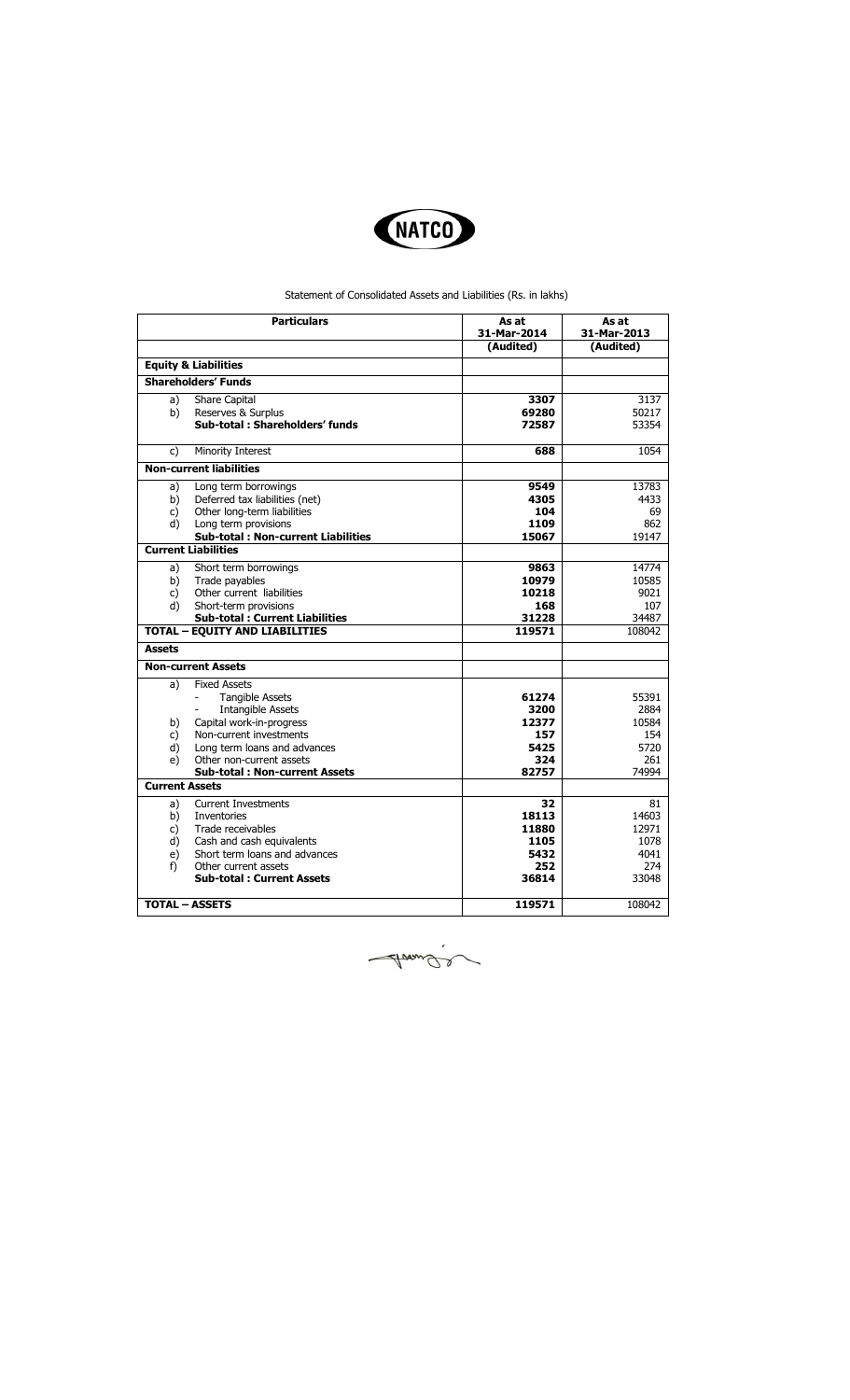

## Statement of Consolidated Assets and Liabilities (Rs. in lakhs)

| (Audited)<br>(Audited)<br><b>Equity &amp; Liabilities</b><br><b>Shareholders' Funds</b><br><b>Share Capital</b><br>3307<br>3137<br>a)<br>b)<br>Reserves & Surplus<br>69280<br>50217<br>Sub-total: Shareholders' funds<br>53354<br>72587<br><b>Minority Interest</b><br>688<br>1054<br>c)<br><b>Non-current liabilities</b><br>9549<br>Long term borrowings<br>13783<br>a)<br>Deferred tax liabilities (net)<br>4305<br>4433<br>b)<br>Other long-term liabilities<br>104<br>69<br>c)<br>d)<br>Long term provisions<br>862<br>1109<br><b>Sub-total: Non-current Liabilities</b><br>15067<br>19147<br><b>Current Liabilities</b><br>Short term borrowings<br>9863<br>14774<br>a)<br>10979<br>10585<br>b)<br>Trade payables<br>Other current liabilities<br>10218<br>9021<br>c)<br>d)<br>Short-term provisions<br>168<br>107<br>31228<br><b>Sub-total: Current Liabilities</b><br>34487<br><b>TOTAL - EQUITY AND LIABILITIES</b><br>119571<br>108042<br><b>Assets</b><br><b>Non-current Assets</b><br><b>Fixed Assets</b><br>a)<br><b>Tangible Assets</b><br>55391<br>61274<br>2884<br><b>Intangible Assets</b><br>3200<br>Capital work-in-progress<br>10584<br>b)<br>12377<br>Non-current investments<br>157<br>154<br>c)<br>5425<br>5720<br>d)<br>Long term loans and advances<br>Other non-current assets<br>e)<br>324<br>261<br><b>Sub-total: Non-current Assets</b><br>82757<br>74994<br><b>Current Assets</b><br><b>Current Investments</b><br>81<br>32<br>a)<br>b)<br><b>Inventories</b><br>18113<br>14603<br>12971<br>c)<br>Trade receivables<br>11880<br>Cash and cash equivalents<br>d)<br>1105<br>1078<br>Short term loans and advances<br>5432<br>4041<br>e)<br>f)<br>Other current assets<br>252<br>274<br><b>Sub-total: Current Assets</b><br>36814<br>33048<br><b>TOTAL - ASSETS</b><br>119571<br>108042 | <b>Particulars</b> | As at<br>31-Mar-2014 | As at<br>31-Mar-2013 |
|---------------------------------------------------------------------------------------------------------------------------------------------------------------------------------------------------------------------------------------------------------------------------------------------------------------------------------------------------------------------------------------------------------------------------------------------------------------------------------------------------------------------------------------------------------------------------------------------------------------------------------------------------------------------------------------------------------------------------------------------------------------------------------------------------------------------------------------------------------------------------------------------------------------------------------------------------------------------------------------------------------------------------------------------------------------------------------------------------------------------------------------------------------------------------------------------------------------------------------------------------------------------------------------------------------------------------------------------------------------------------------------------------------------------------------------------------------------------------------------------------------------------------------------------------------------------------------------------------------------------------------------------------------------------------------------------------------------------------------------------------------------------------------------------------------------------|--------------------|----------------------|----------------------|
|                                                                                                                                                                                                                                                                                                                                                                                                                                                                                                                                                                                                                                                                                                                                                                                                                                                                                                                                                                                                                                                                                                                                                                                                                                                                                                                                                                                                                                                                                                                                                                                                                                                                                                                                                                                                                     |                    |                      |                      |
|                                                                                                                                                                                                                                                                                                                                                                                                                                                                                                                                                                                                                                                                                                                                                                                                                                                                                                                                                                                                                                                                                                                                                                                                                                                                                                                                                                                                                                                                                                                                                                                                                                                                                                                                                                                                                     |                    |                      |                      |
|                                                                                                                                                                                                                                                                                                                                                                                                                                                                                                                                                                                                                                                                                                                                                                                                                                                                                                                                                                                                                                                                                                                                                                                                                                                                                                                                                                                                                                                                                                                                                                                                                                                                                                                                                                                                                     |                    |                      |                      |
|                                                                                                                                                                                                                                                                                                                                                                                                                                                                                                                                                                                                                                                                                                                                                                                                                                                                                                                                                                                                                                                                                                                                                                                                                                                                                                                                                                                                                                                                                                                                                                                                                                                                                                                                                                                                                     |                    |                      |                      |
|                                                                                                                                                                                                                                                                                                                                                                                                                                                                                                                                                                                                                                                                                                                                                                                                                                                                                                                                                                                                                                                                                                                                                                                                                                                                                                                                                                                                                                                                                                                                                                                                                                                                                                                                                                                                                     |                    |                      |                      |
|                                                                                                                                                                                                                                                                                                                                                                                                                                                                                                                                                                                                                                                                                                                                                                                                                                                                                                                                                                                                                                                                                                                                                                                                                                                                                                                                                                                                                                                                                                                                                                                                                                                                                                                                                                                                                     |                    |                      |                      |
|                                                                                                                                                                                                                                                                                                                                                                                                                                                                                                                                                                                                                                                                                                                                                                                                                                                                                                                                                                                                                                                                                                                                                                                                                                                                                                                                                                                                                                                                                                                                                                                                                                                                                                                                                                                                                     |                    |                      |                      |
|                                                                                                                                                                                                                                                                                                                                                                                                                                                                                                                                                                                                                                                                                                                                                                                                                                                                                                                                                                                                                                                                                                                                                                                                                                                                                                                                                                                                                                                                                                                                                                                                                                                                                                                                                                                                                     |                    |                      |                      |
|                                                                                                                                                                                                                                                                                                                                                                                                                                                                                                                                                                                                                                                                                                                                                                                                                                                                                                                                                                                                                                                                                                                                                                                                                                                                                                                                                                                                                                                                                                                                                                                                                                                                                                                                                                                                                     |                    |                      |                      |
|                                                                                                                                                                                                                                                                                                                                                                                                                                                                                                                                                                                                                                                                                                                                                                                                                                                                                                                                                                                                                                                                                                                                                                                                                                                                                                                                                                                                                                                                                                                                                                                                                                                                                                                                                                                                                     |                    |                      |                      |
|                                                                                                                                                                                                                                                                                                                                                                                                                                                                                                                                                                                                                                                                                                                                                                                                                                                                                                                                                                                                                                                                                                                                                                                                                                                                                                                                                                                                                                                                                                                                                                                                                                                                                                                                                                                                                     |                    |                      |                      |
|                                                                                                                                                                                                                                                                                                                                                                                                                                                                                                                                                                                                                                                                                                                                                                                                                                                                                                                                                                                                                                                                                                                                                                                                                                                                                                                                                                                                                                                                                                                                                                                                                                                                                                                                                                                                                     |                    |                      |                      |
|                                                                                                                                                                                                                                                                                                                                                                                                                                                                                                                                                                                                                                                                                                                                                                                                                                                                                                                                                                                                                                                                                                                                                                                                                                                                                                                                                                                                                                                                                                                                                                                                                                                                                                                                                                                                                     |                    |                      |                      |
|                                                                                                                                                                                                                                                                                                                                                                                                                                                                                                                                                                                                                                                                                                                                                                                                                                                                                                                                                                                                                                                                                                                                                                                                                                                                                                                                                                                                                                                                                                                                                                                                                                                                                                                                                                                                                     |                    |                      |                      |
|                                                                                                                                                                                                                                                                                                                                                                                                                                                                                                                                                                                                                                                                                                                                                                                                                                                                                                                                                                                                                                                                                                                                                                                                                                                                                                                                                                                                                                                                                                                                                                                                                                                                                                                                                                                                                     |                    |                      |                      |
|                                                                                                                                                                                                                                                                                                                                                                                                                                                                                                                                                                                                                                                                                                                                                                                                                                                                                                                                                                                                                                                                                                                                                                                                                                                                                                                                                                                                                                                                                                                                                                                                                                                                                                                                                                                                                     |                    |                      |                      |
|                                                                                                                                                                                                                                                                                                                                                                                                                                                                                                                                                                                                                                                                                                                                                                                                                                                                                                                                                                                                                                                                                                                                                                                                                                                                                                                                                                                                                                                                                                                                                                                                                                                                                                                                                                                                                     |                    |                      |                      |
|                                                                                                                                                                                                                                                                                                                                                                                                                                                                                                                                                                                                                                                                                                                                                                                                                                                                                                                                                                                                                                                                                                                                                                                                                                                                                                                                                                                                                                                                                                                                                                                                                                                                                                                                                                                                                     |                    |                      |                      |
|                                                                                                                                                                                                                                                                                                                                                                                                                                                                                                                                                                                                                                                                                                                                                                                                                                                                                                                                                                                                                                                                                                                                                                                                                                                                                                                                                                                                                                                                                                                                                                                                                                                                                                                                                                                                                     |                    |                      |                      |
|                                                                                                                                                                                                                                                                                                                                                                                                                                                                                                                                                                                                                                                                                                                                                                                                                                                                                                                                                                                                                                                                                                                                                                                                                                                                                                                                                                                                                                                                                                                                                                                                                                                                                                                                                                                                                     |                    |                      |                      |
|                                                                                                                                                                                                                                                                                                                                                                                                                                                                                                                                                                                                                                                                                                                                                                                                                                                                                                                                                                                                                                                                                                                                                                                                                                                                                                                                                                                                                                                                                                                                                                                                                                                                                                                                                                                                                     |                    |                      |                      |
|                                                                                                                                                                                                                                                                                                                                                                                                                                                                                                                                                                                                                                                                                                                                                                                                                                                                                                                                                                                                                                                                                                                                                                                                                                                                                                                                                                                                                                                                                                                                                                                                                                                                                                                                                                                                                     |                    |                      |                      |
|                                                                                                                                                                                                                                                                                                                                                                                                                                                                                                                                                                                                                                                                                                                                                                                                                                                                                                                                                                                                                                                                                                                                                                                                                                                                                                                                                                                                                                                                                                                                                                                                                                                                                                                                                                                                                     |                    |                      |                      |
|                                                                                                                                                                                                                                                                                                                                                                                                                                                                                                                                                                                                                                                                                                                                                                                                                                                                                                                                                                                                                                                                                                                                                                                                                                                                                                                                                                                                                                                                                                                                                                                                                                                                                                                                                                                                                     |                    |                      |                      |
|                                                                                                                                                                                                                                                                                                                                                                                                                                                                                                                                                                                                                                                                                                                                                                                                                                                                                                                                                                                                                                                                                                                                                                                                                                                                                                                                                                                                                                                                                                                                                                                                                                                                                                                                                                                                                     |                    |                      |                      |
|                                                                                                                                                                                                                                                                                                                                                                                                                                                                                                                                                                                                                                                                                                                                                                                                                                                                                                                                                                                                                                                                                                                                                                                                                                                                                                                                                                                                                                                                                                                                                                                                                                                                                                                                                                                                                     |                    |                      |                      |
|                                                                                                                                                                                                                                                                                                                                                                                                                                                                                                                                                                                                                                                                                                                                                                                                                                                                                                                                                                                                                                                                                                                                                                                                                                                                                                                                                                                                                                                                                                                                                                                                                                                                                                                                                                                                                     |                    |                      |                      |
|                                                                                                                                                                                                                                                                                                                                                                                                                                                                                                                                                                                                                                                                                                                                                                                                                                                                                                                                                                                                                                                                                                                                                                                                                                                                                                                                                                                                                                                                                                                                                                                                                                                                                                                                                                                                                     |                    |                      |                      |
|                                                                                                                                                                                                                                                                                                                                                                                                                                                                                                                                                                                                                                                                                                                                                                                                                                                                                                                                                                                                                                                                                                                                                                                                                                                                                                                                                                                                                                                                                                                                                                                                                                                                                                                                                                                                                     |                    |                      |                      |
|                                                                                                                                                                                                                                                                                                                                                                                                                                                                                                                                                                                                                                                                                                                                                                                                                                                                                                                                                                                                                                                                                                                                                                                                                                                                                                                                                                                                                                                                                                                                                                                                                                                                                                                                                                                                                     |                    |                      |                      |
|                                                                                                                                                                                                                                                                                                                                                                                                                                                                                                                                                                                                                                                                                                                                                                                                                                                                                                                                                                                                                                                                                                                                                                                                                                                                                                                                                                                                                                                                                                                                                                                                                                                                                                                                                                                                                     |                    |                      |                      |
|                                                                                                                                                                                                                                                                                                                                                                                                                                                                                                                                                                                                                                                                                                                                                                                                                                                                                                                                                                                                                                                                                                                                                                                                                                                                                                                                                                                                                                                                                                                                                                                                                                                                                                                                                                                                                     |                    |                      |                      |
|                                                                                                                                                                                                                                                                                                                                                                                                                                                                                                                                                                                                                                                                                                                                                                                                                                                                                                                                                                                                                                                                                                                                                                                                                                                                                                                                                                                                                                                                                                                                                                                                                                                                                                                                                                                                                     |                    |                      |                      |
|                                                                                                                                                                                                                                                                                                                                                                                                                                                                                                                                                                                                                                                                                                                                                                                                                                                                                                                                                                                                                                                                                                                                                                                                                                                                                                                                                                                                                                                                                                                                                                                                                                                                                                                                                                                                                     |                    |                      |                      |
|                                                                                                                                                                                                                                                                                                                                                                                                                                                                                                                                                                                                                                                                                                                                                                                                                                                                                                                                                                                                                                                                                                                                                                                                                                                                                                                                                                                                                                                                                                                                                                                                                                                                                                                                                                                                                     |                    |                      |                      |
|                                                                                                                                                                                                                                                                                                                                                                                                                                                                                                                                                                                                                                                                                                                                                                                                                                                                                                                                                                                                                                                                                                                                                                                                                                                                                                                                                                                                                                                                                                                                                                                                                                                                                                                                                                                                                     |                    |                      |                      |

Avande